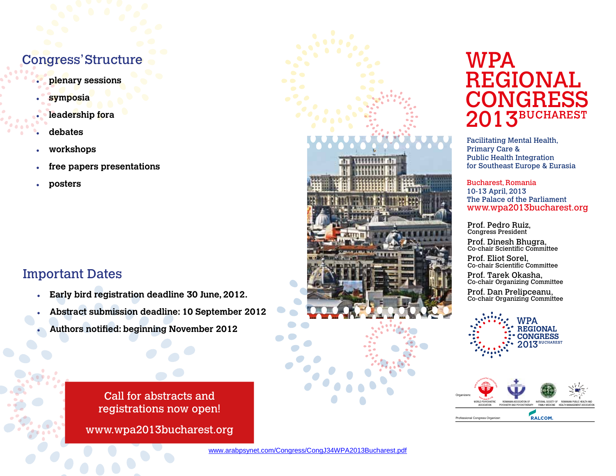# Congress' Structure

- r **plenary sessions**
- symposia
- leadership fora
- r **debates**
- r **workshops**
- free papers presentations
- **posters**

## Important Dates

- **Early bird registration deadline 30 June, 2012.**
- r **Abstract submission deadline: 10 September 2012**
- **Authors notified: beginning November 2012**

Call for abstracts and registrations now open!

www.wpa2013bucharest.org



# WPA REGIONAL CONGRESS 3BUCHAREST

Facilitating Mental Health, Primary Care & Public Health Integration for Southeast Europe & Eurasia

Bucharest, Romania 10-13 April, 2013 The Palace of the Parliament www.wpa2013bucharest.org

Prof. Pedro Ruiz, Congress President

Prof. Dinesh Bhugra, Co-chair Scientific Committee

Prof. Eliot Sorel, Co-chair Scientific Committee

Prof. Tarek Okasha, Co-chair Organizing Committee

Prof. Dan Prelipceanu, Co-chair Organizing Committee